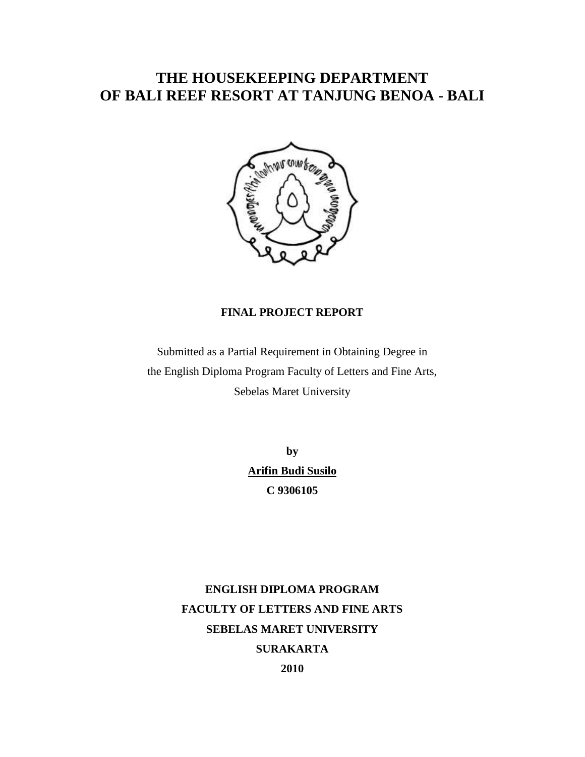# **THE HOUSEKEEPING DEPARTMENT OF BALI REEF RESORT AT TANJUNG BENOA - BALI**



# **FINAL PROJECT REPORT**

Submitted as a Partial Requirement in Obtaining Degree in the English Diploma Program Faculty of Letters and Fine Arts, Sebelas Maret University

> **by Arifin Budi Susilo C 9306105**

**ENGLISH DIPLOMA PROGRAM FACULTY OF LETTERS AND FINE ARTS SEBELAS MARET UNIVERSITY SURAKARTA 2010**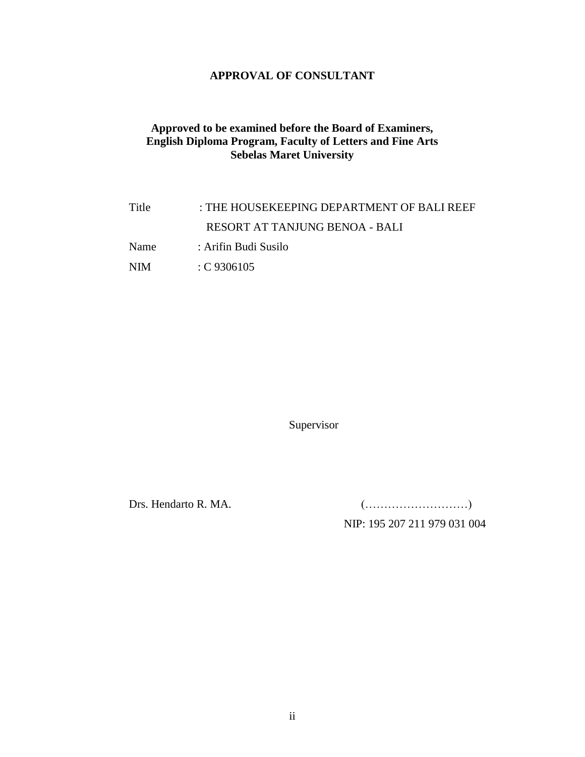# **APPROVAL OF CONSULTANT**

# **Approved to be examined before the Board of Examiners, English Diploma Program, Faculty of Letters and Fine Arts Sebelas Maret University**

Title : THE HOUSEKEEPING DEPARTMENT OF BALI REEF RESORT AT TANJUNG BENOA - BALI Name : Arifin Budi Susilo NIM : C 9306105

Supervisor

Drs. Hendarto R. MA. (………………………)

NIP: 195 207 211 979 031 004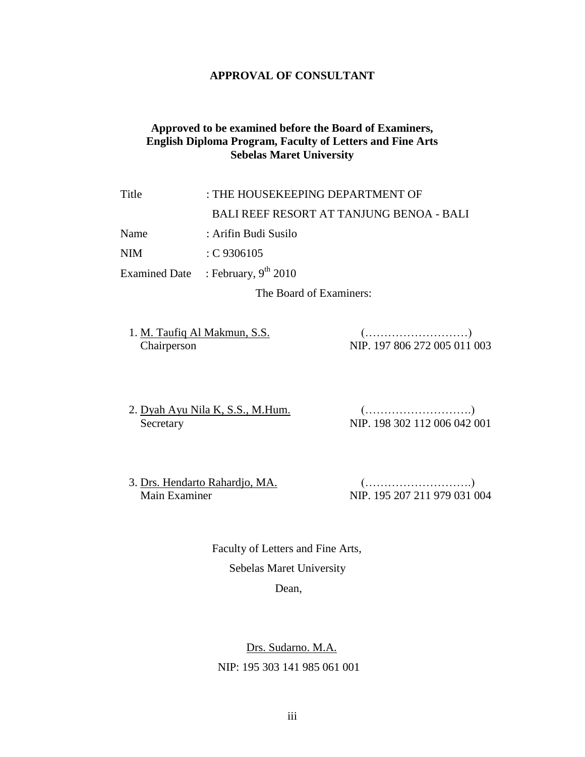# **APPROVAL OF CONSULTANT**

# **Approved to be examined before the Board of Examiners, English Diploma Program, Faculty of Letters and Fine Arts Sebelas Maret University**

# Title : THE HOUSEKEEPING DEPARTMENT OF BALI REEF RESORT AT TANJUNG BENOA - BALI Name : Arifin Budi Susilo NIM : C 9306105

Examined Date : February,  $9<sup>th</sup> 2010$ 

The Board of Examiners:

| 1. M. Taufiq Al Makmun, S.S. |                              |
|------------------------------|------------------------------|
| Chairperson                  | NIP. 197 806 272 005 011 003 |

2. Dyah Ayu Nila K, S.S., M.Hum. (……………………….) Secretary NIP. 198 302 112 006 042 001

3. Drs. Hendarto Rahardjo, MA. (……………………….) Main Examiner NIP. 195 207 211 979 031 004

> Faculty of Letters and Fine Arts, Sebelas Maret University

Dean,

 Drs. Sudarno. M.A. NIP: 195 303 141 985 061 001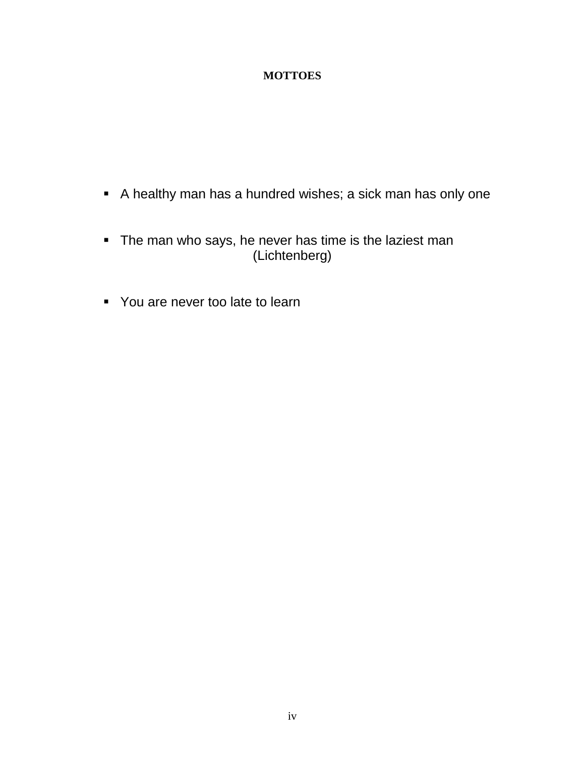# **MOTTOES**

- A healthy man has a hundred wishes; a sick man has only one
- **The man who says, he never has time is the laziest man** (Lichtenberg)
- You are never too late to learn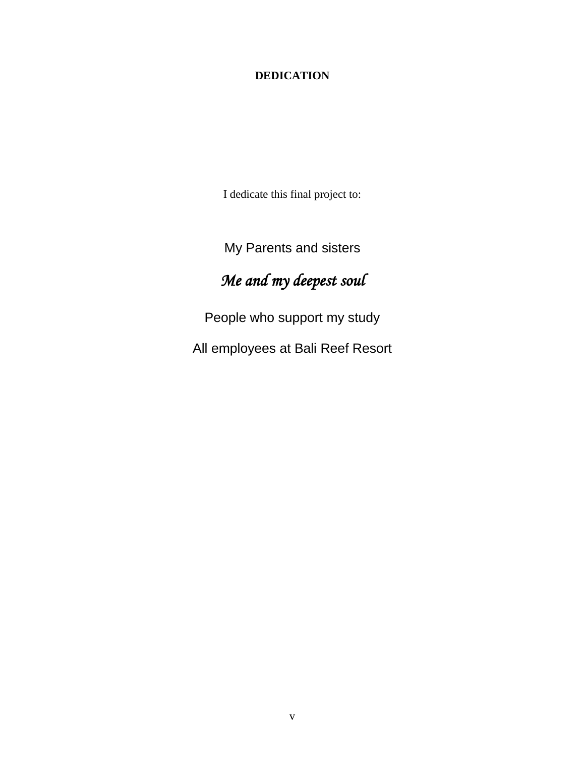# **DEDICATION**

I dedicate this final project to:

My Parents and sisters

# *Me and my deepest soul*

People who support my study

All employees at Bali Reef Resort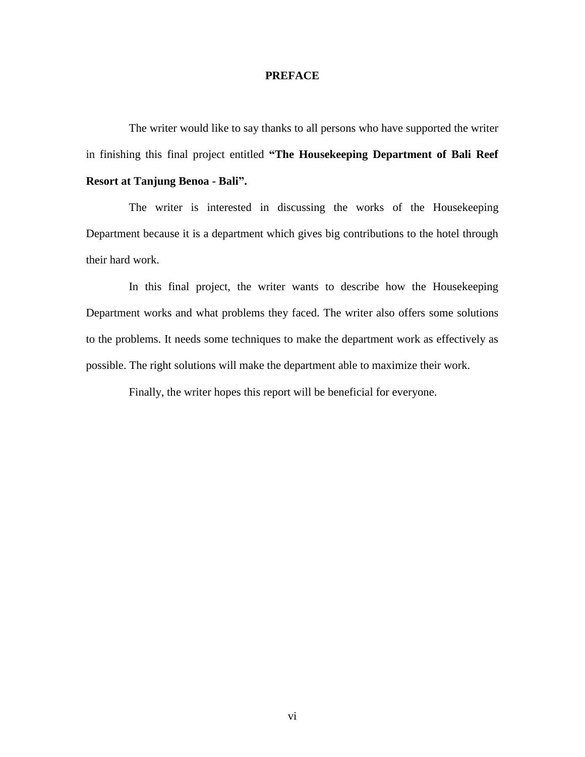#### **PREFACE**

The writer would like to say thanks to all persons who have supported the writer in finishing this final project entitled **"The Housekeeping Department of Bali Reef Resort at Tanjung Benoa - Bali".**

The writer is interested in discussing the works of the Housekeeping Department because it is a department which gives big contributions to the hotel through their hard work.

In this final project, the writer wants to describe how the Housekeeping Department works and what problems they faced. The writer also offers some solutions to the problems. It needs some techniques to make the department work as effectively as possible. The right solutions will make the department able to maximize their work.

Finally, the writer hopes this report will be beneficial for everyone.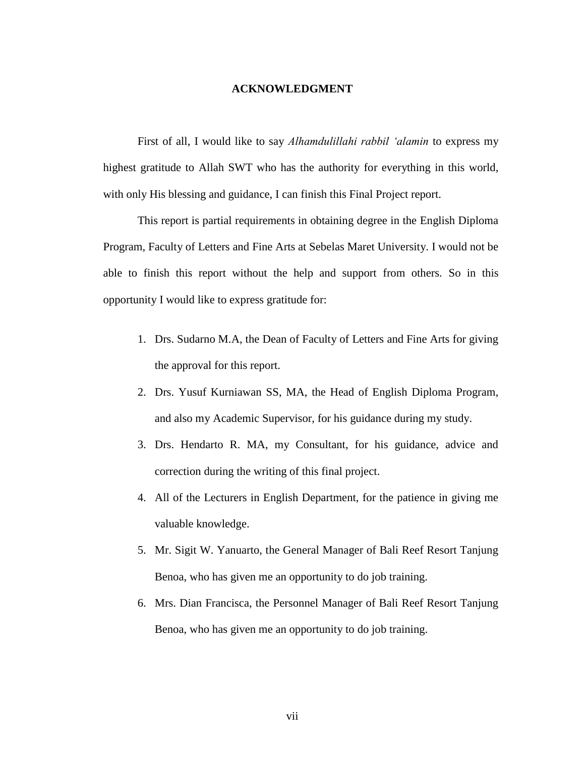#### **ACKNOWLEDGMENT**

First of all, I would like to say *Alhamdulillahi rabbil 'alamin* to express my highest gratitude to Allah SWT who has the authority for everything in this world, with only His blessing and guidance, I can finish this Final Project report.

This report is partial requirements in obtaining degree in the English Diploma Program, Faculty of Letters and Fine Arts at Sebelas Maret University. I would not be able to finish this report without the help and support from others. So in this opportunity I would like to express gratitude for:

- 1. Drs. Sudarno M.A, the Dean of Faculty of Letters and Fine Arts for giving the approval for this report.
- 2. Drs. Yusuf Kurniawan SS, MA, the Head of English Diploma Program, and also my Academic Supervisor, for his guidance during my study.
- 3. Drs. Hendarto R. MA, my Consultant, for his guidance, advice and correction during the writing of this final project.
- 4. All of the Lecturers in English Department, for the patience in giving me valuable knowledge.
- 5. Mr. Sigit W. Yanuarto, the General Manager of Bali Reef Resort Tanjung Benoa, who has given me an opportunity to do job training.
- 6. Mrs. Dian Francisca, the Personnel Manager of Bali Reef Resort Tanjung Benoa, who has given me an opportunity to do job training.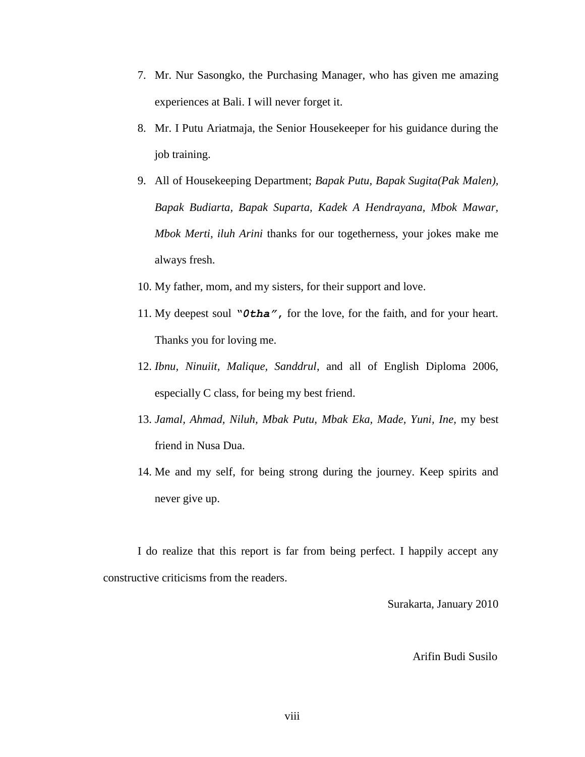- 7. Mr. Nur Sasongko, the Purchasing Manager, who has given me amazing experiences at Bali. I will never forget it.
- 8. Mr. I Putu Ariatmaja, the Senior Housekeeper for his guidance during the job training.
- 9. All of Housekeeping Department; *Bapak Putu, Bapak Sugita(Pak Malen), Bapak Budiarta, Bapak Suparta, Kadek A Hendrayana, Mbok Mawar, Mbok Merti, iluh Arini* thanks for our togetherness, your jokes make me always fresh.
- 10. My father, mom, and my sisters, for their support and love.
- 11. My deepest soul *"0tha"***,** for the love, for the faith, and for your heart. Thanks you for loving me.
- 12. *Ibnu, Ninuiit, Malique, Sanddrul*, and all of English Diploma 2006, especially C class, for being my best friend.
- 13. *Jamal, Ahmad, Niluh, Mbak Putu, Mbak Eka, Made, Yuni, Ine,* my best friend in Nusa Dua.
- 14. Me and my self, for being strong during the journey. Keep spirits and never give up.

I do realize that this report is far from being perfect. I happily accept any constructive criticisms from the readers.

Surakarta, January 2010

# Arifin Budi Susilo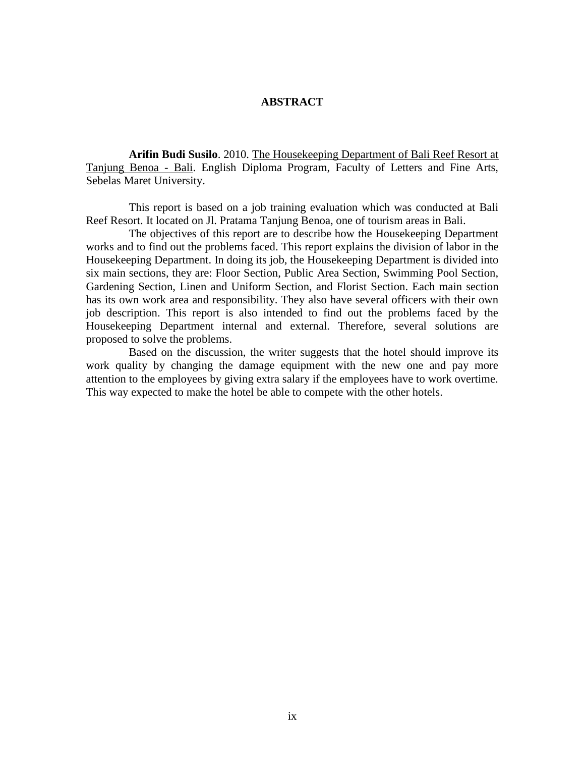# **ABSTRACT**

**Arifin Budi Susilo**. 2010. The Housekeeping Department of Bali Reef Resort at Tanjung Benoa - Bali. English Diploma Program, Faculty of Letters and Fine Arts, Sebelas Maret University.

This report is based on a job training evaluation which was conducted at Bali Reef Resort. It located on Jl. Pratama Tanjung Benoa, one of tourism areas in Bali.

The objectives of this report are to describe how the Housekeeping Department works and to find out the problems faced. This report explains the division of labor in the Housekeeping Department. In doing its job, the Housekeeping Department is divided into six main sections, they are: Floor Section, Public Area Section, Swimming Pool Section, Gardening Section, Linen and Uniform Section, and Florist Section. Each main section has its own work area and responsibility. They also have several officers with their own job description. This report is also intended to find out the problems faced by the Housekeeping Department internal and external. Therefore, several solutions are proposed to solve the problems.

Based on the discussion, the writer suggests that the hotel should improve its work quality by changing the damage equipment with the new one and pay more attention to the employees by giving extra salary if the employees have to work overtime. This way expected to make the hotel be able to compete with the other hotels.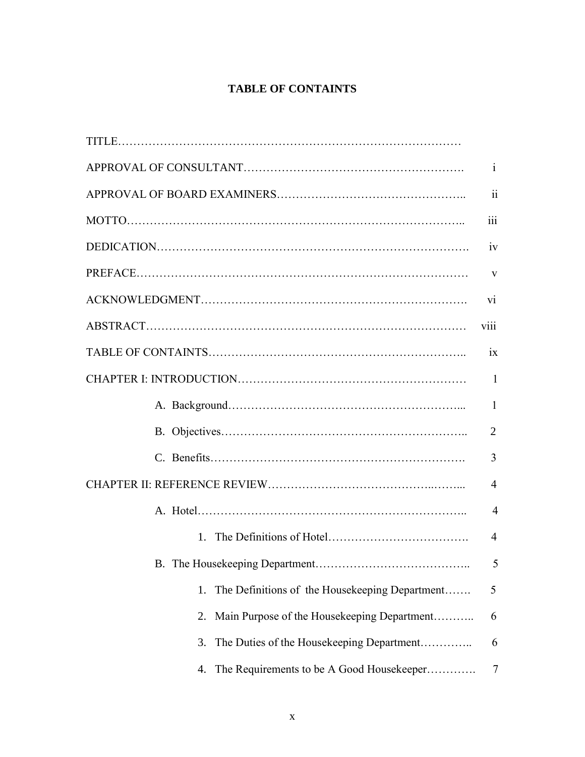# **TABLE OF CONTAINTS**

|                                                      | V              |
|------------------------------------------------------|----------------|
| V1                                                   |                |
| <b>V111</b>                                          |                |
|                                                      |                |
|                                                      |                |
|                                                      | $\mathbf{1}$   |
|                                                      | $\overline{2}$ |
|                                                      |                |
| $\overline{4}$                                       |                |
|                                                      | $\overline{4}$ |
| 1                                                    | $\overline{4}$ |
|                                                      |                |
| The Definitions of the Housekeeping Department<br>1. | 5              |
| Main Purpose of the Housekeeping Department<br>2.    | 6              |
| The Duties of the Housekeeping Department<br>3.      | 6              |
| The Requirements to be A Good Housekeeper<br>4.      | 7              |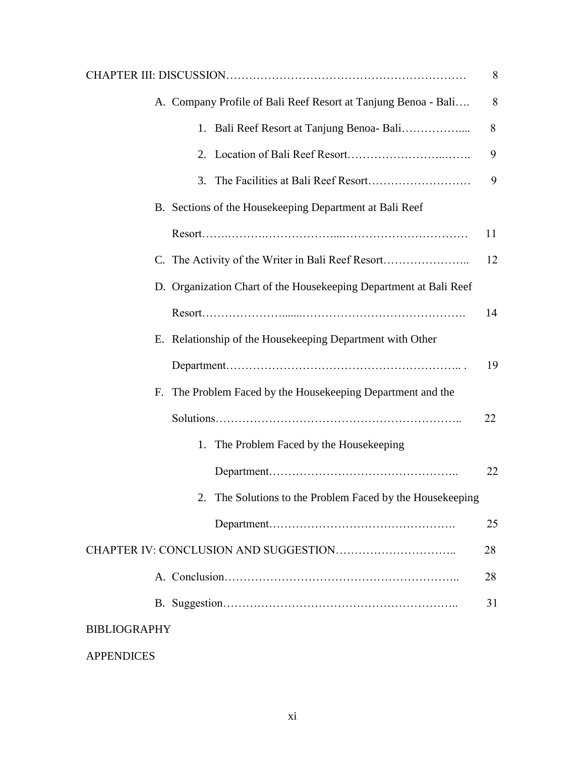| 8                                                                 |  |
|-------------------------------------------------------------------|--|
| A. Company Profile of Bali Reef Resort at Tanjung Benoa - Bali    |  |
| 8<br>1. Bali Reef Resort at Tanjung Benoa-Bali                    |  |
| 9                                                                 |  |
| 9                                                                 |  |
| B. Sections of the Housekeeping Department at Bali Reef           |  |
| 11                                                                |  |
| C. The Activity of the Writer in Bali Reef Resort<br>12           |  |
| D. Organization Chart of the Housekeeping Department at Bali Reef |  |
| 14                                                                |  |
| E. Relationship of the Housekeeping Department with Other         |  |
| 19                                                                |  |
| F. The Problem Faced by the Housekeeping Department and the       |  |
| 22                                                                |  |
| 1. The Problem Faced by the Housekeeping                          |  |
| 22                                                                |  |
| 2. The Solutions to the Problem Faced by the Housekeeping         |  |
| 25                                                                |  |
| 28                                                                |  |
| 28                                                                |  |
| 31                                                                |  |
| <b>BIBLIOGRAPHY</b>                                               |  |
| <b>APPENDICES</b>                                                 |  |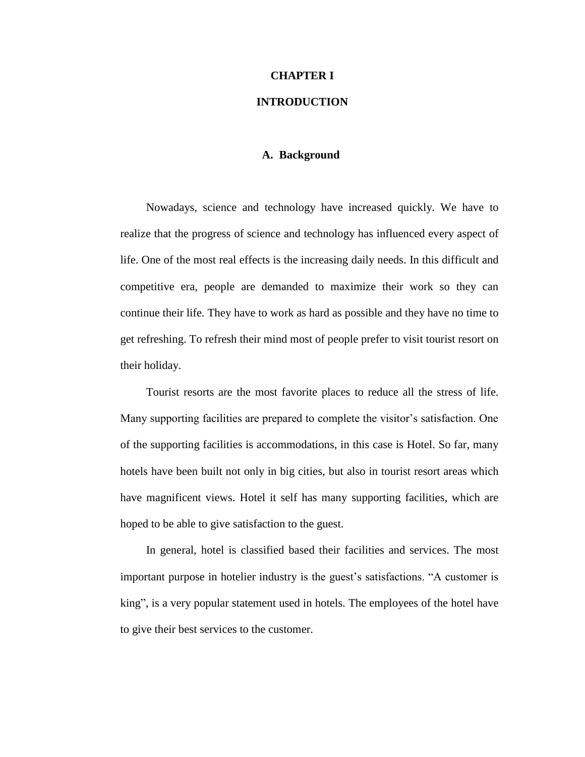#### **CHAPTER I**

# **INTRODUCTION**

# **A. Background**

Nowadays, science and technology have increased quickly. We have to realize that the progress of science and technology has influenced every aspect of life. One of the most real effects is the increasing daily needs. In this difficult and competitive era, people are demanded to maximize their work so they can continue their life. They have to work as hard as possible and they have no time to get refreshing. To refresh their mind most of people prefer to visit tourist resort on their holiday.

Tourist resorts are the most favorite places to reduce all the stress of life. Many supporting facilities are prepared to complete the visitor's satisfaction. One of the supporting facilities is accommodations, in this case is Hotel. So far, many hotels have been built not only in big cities, but also in tourist resort areas which have magnificent views. Hotel it self has many supporting facilities, which are hoped to be able to give satisfaction to the guest.

In general, hotel is classified based their facilities and services. The most important purpose in hotelier industry is the guest's satisfactions. "A customer is king", is a very popular statement used in hotels. The employees of the hotel have to give their best services to the customer.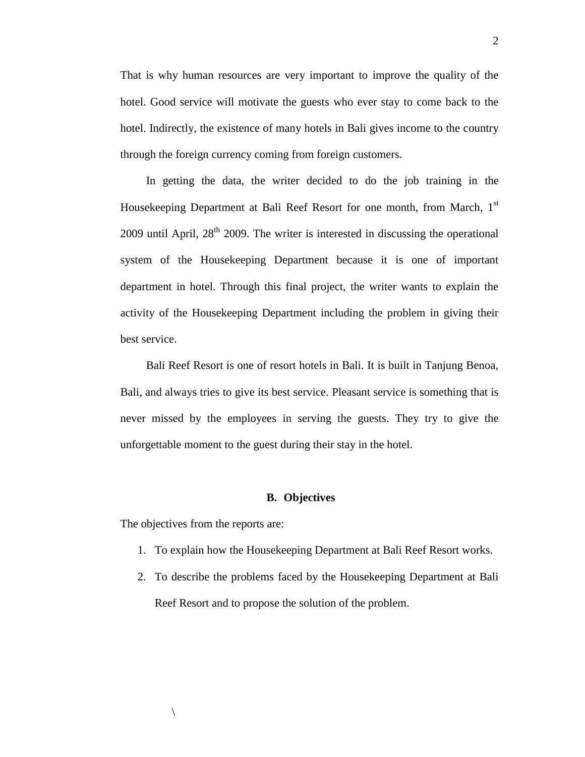That is why human resources are very important to improve the quality of the hotel. Good service will motivate the guests who ever stay to come back to the hotel. Indirectly, the existence of many hotels in Bali gives income to the country through the foreign currency coming from foreign customers.

In getting the data, the writer decided to do the job training in the Housekeeping Department at Bali Reef Resort for one month, from March, 1<sup>st</sup>  $2009$  until April,  $28<sup>th</sup> 2009$ . The writer is interested in discussing the operational system of the Housekeeping Department because it is one of important department in hotel. Through this final project, the writer wants to explain the activity of the Housekeeping Department including the problem in giving their best service.

Bali Reef Resort is one of resort hotels in Bali. It is built in Tanjung Benoa, Bali, and always tries to give its best service. Pleasant service is something that is never missed by the employees in serving the guests. They try to give the unforgettable moment to the guest during their stay in the hotel.

## **B. Objectives**

The objectives from the reports are:

- 1. To explain how the Housekeeping Department at Bali Reef Resort works.
- 2. To describe the problems faced by the Housekeeping Department at Bali Reef Resort and to propose the solution of the problem.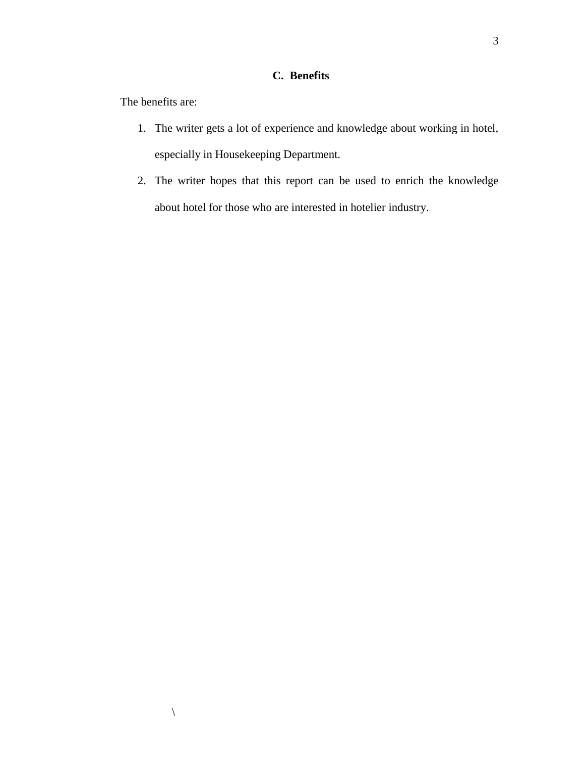# **C. Benefits**

The benefits are:

 $\setminus$ 

- 1. The writer gets a lot of experience and knowledge about working in hotel, especially in Housekeeping Department.
- 2. The writer hopes that this report can be used to enrich the knowledge about hotel for those who are interested in hotelier industry.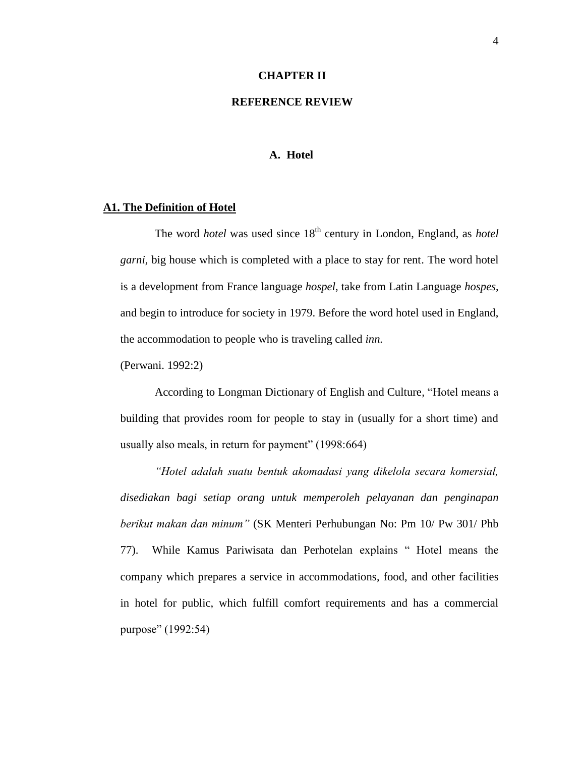#### **CHAPTER II**

# **REFERENCE REVIEW**

#### **A. Hotel**

#### **A1. The Definition of Hotel**

The word *hotel* was used since 18<sup>th</sup> century in London, England, as *hotel garni,* big house which is completed with a place to stay for rent. The word hotel is a development from France language *hospel*, take from Latin Language *hospes*, and begin to introduce for society in 1979. Before the word hotel used in England, the accommodation to people who is traveling called *inn.*

(Perwani. 1992:2)

According to Longman Dictionary of English and Culture*,* "Hotel means a building that provides room for people to stay in (usually for a short time) and usually also meals, in return for payment" (1998:664)

*"Hotel adalah suatu bentuk akomadasi yang dikelola secara komersial, disediakan bagi setiap orang untuk memperoleh pelayanan dan penginapan berikut makan dan minum"* (SK Menteri Perhubungan No: Pm 10/ Pw 301/ Phb 77). While Kamus Pariwisata dan Perhotelan explains " Hotel means the company which prepares a service in accommodations, food, and other facilities in hotel for public, which fulfill comfort requirements and has a commercial purpose" (1992:54)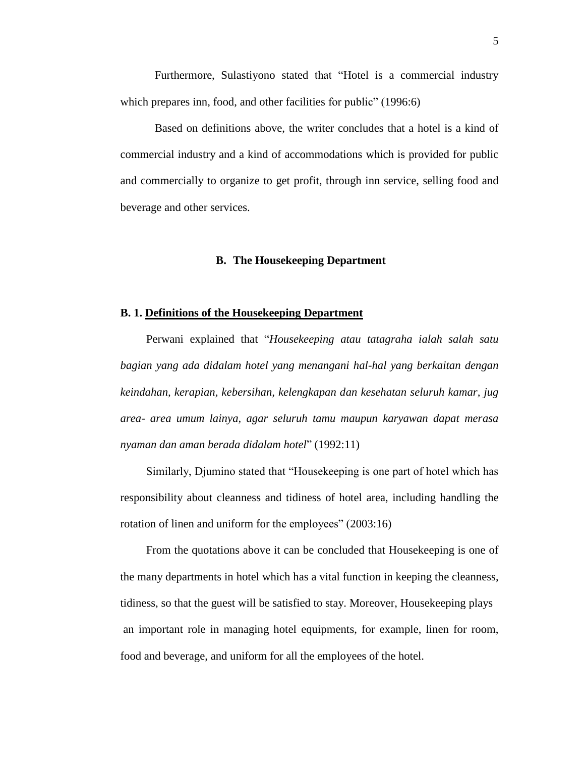Furthermore, Sulastiyono stated that "Hotel is a commercial industry which prepares inn, food, and other facilities for public" (1996:6)

Based on definitions above, the writer concludes that a hotel is a kind of commercial industry and a kind of accommodations which is provided for public and commercially to organize to get profit, through inn service, selling food and beverage and other services.

#### **B. The Housekeeping Department**

#### **B. 1. Definitions of the Housekeeping Department**

Perwani explained that "*Housekeeping atau tatagraha ialah salah satu bagian yang ada didalam hotel yang menangani hal-hal yang berkaitan dengan keindahan, kerapian, kebersihan, kelengkapan dan kesehatan seluruh kamar, jug area- area umum lainya, agar seluruh tamu maupun karyawan dapat merasa nyaman dan aman berada didalam hotel*" (1992:11)

Similarly, Djumino stated that "Housekeeping is one part of hotel which has responsibility about cleanness and tidiness of hotel area, including handling the rotation of linen and uniform for the employees" (2003:16)

From the quotations above it can be concluded that Housekeeping is one of the many departments in hotel which has a vital function in keeping the cleanness, tidiness, so that the guest will be satisfied to stay. Moreover, Housekeeping plays an important role in managing hotel equipments, for example, linen for room, food and beverage, and uniform for all the employees of the hotel.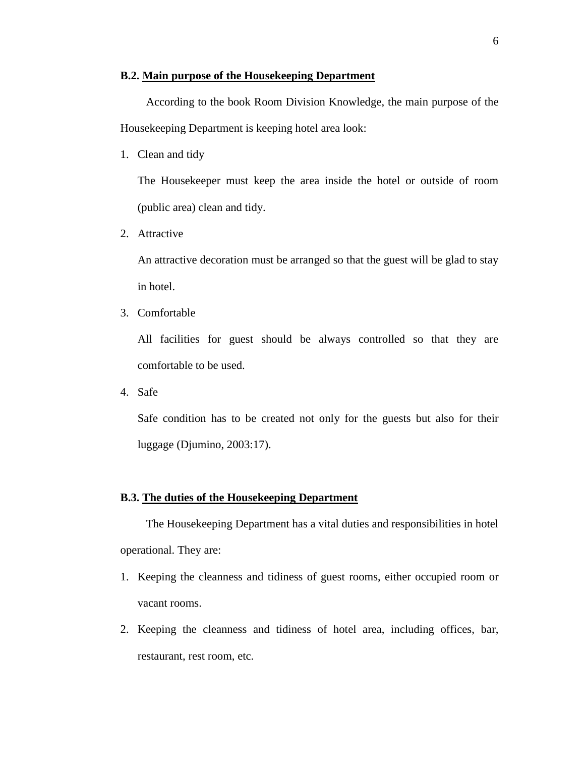# **B.2. Main purpose of the Housekeeping Department**

According to the book Room Division Knowledge, the main purpose of the Housekeeping Department is keeping hotel area look:

1. Clean and tidy

The Housekeeper must keep the area inside the hotel or outside of room (public area) clean and tidy.

2. Attractive

An attractive decoration must be arranged so that the guest will be glad to stay in hotel.

3. Comfortable

All facilities for guest should be always controlled so that they are comfortable to be used.

4. Safe

Safe condition has to be created not only for the guests but also for their luggage (Djumino, 2003:17).

## **B.3. The duties of the Housekeeping Department**

The Housekeeping Department has a vital duties and responsibilities in hotel operational. They are:

- 1. Keeping the cleanness and tidiness of guest rooms, either occupied room or vacant rooms.
- 2. Keeping the cleanness and tidiness of hotel area, including offices, bar, restaurant, rest room, etc.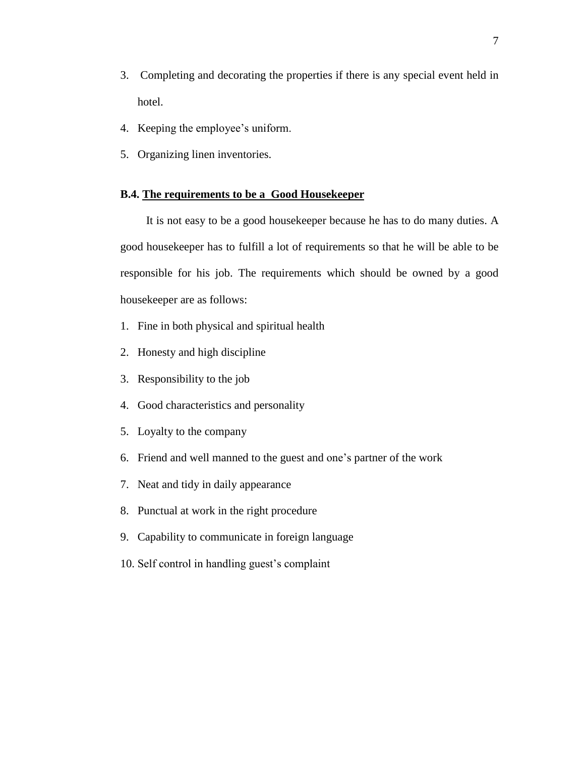- 3. Completing and decorating the properties if there is any special event held in hotel.
- 4. Keeping the employee's uniform.
- 5. Organizing linen inventories.

## **B.4. The requirements to be a Good Housekeeper**

It is not easy to be a good housekeeper because he has to do many duties. A good housekeeper has to fulfill a lot of requirements so that he will be able to be responsible for his job. The requirements which should be owned by a good housekeeper are as follows:

- 1. Fine in both physical and spiritual health
- 2. Honesty and high discipline
- 3. Responsibility to the job
- 4. Good characteristics and personality
- 5. Loyalty to the company
- 6. Friend and well manned to the guest and one's partner of the work
- 7. Neat and tidy in daily appearance
- 8. Punctual at work in the right procedure
- 9. Capability to communicate in foreign language
- 10. Self control in handling guest's complaint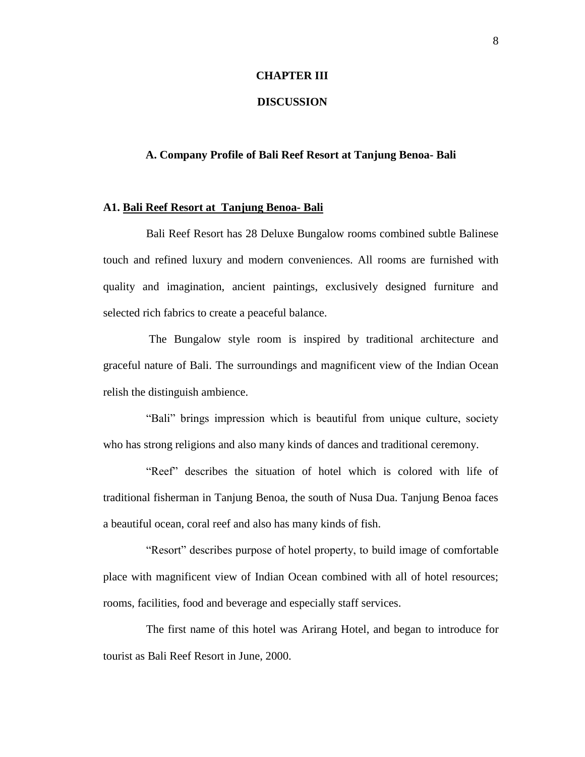## **CHAPTER III**

## **DISCUSSION**

## **A. Company Profile of Bali Reef Resort at Tanjung Benoa- Bali**

#### **A1. Bali Reef Resort at Tanjung Benoa- Bali**

Bali Reef Resort has 28 Deluxe Bungalow rooms combined subtle Balinese touch and refined luxury and modern conveniences. All rooms are furnished with quality and imagination, ancient paintings, exclusively designed furniture and selected rich fabrics to create a peaceful balance.

The Bungalow style room is inspired by traditional architecture and graceful nature of Bali. The surroundings and magnificent view of the Indian Ocean relish the distinguish ambience.

"Bali" brings impression which is beautiful from unique culture, society who has strong religions and also many kinds of dances and traditional ceremony.

"Reef" describes the situation of hotel which is colored with life of traditional fisherman in Tanjung Benoa, the south of Nusa Dua. Tanjung Benoa faces a beautiful ocean, coral reef and also has many kinds of fish.

"Resort" describes purpose of hotel property, to build image of comfortable place with magnificent view of Indian Ocean combined with all of hotel resources; rooms, facilities, food and beverage and especially staff services.

The first name of this hotel was Arirang Hotel, and began to introduce for tourist as Bali Reef Resort in June, 2000.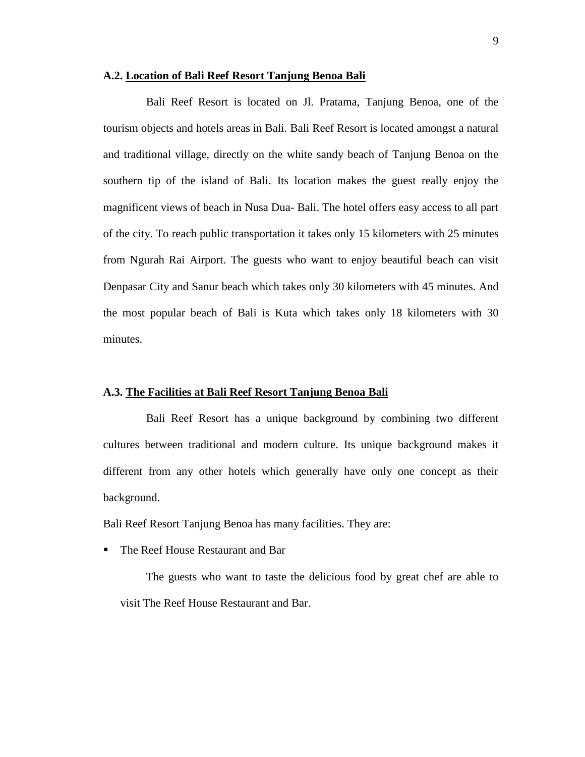# **A.2. Location of Bali Reef Resort Tanjung Benoa Bali**

Bali Reef Resort is located on Jl. Pratama, Tanjung Benoa, one of the tourism objects and hotels areas in Bali. Bali Reef Resort is located amongst a natural and traditional village, directly on the white sandy beach of Tanjung Benoa on the southern tip of the island of Bali. Its location makes the guest really enjoy the magnificent views of beach in Nusa Dua- Bali. The hotel offers easy access to all part of the city. To reach public transportation it takes only 15 kilometers with 25 minutes from Ngurah Rai Airport. The guests who want to enjoy beautiful beach can visit Denpasar City and Sanur beach which takes only 30 kilometers with 45 minutes. And the most popular beach of Bali is Kuta which takes only 18 kilometers with 30 minutes.

## **A.3. The Facilities at Bali Reef Resort Tanjung Benoa Bali**

Bali Reef Resort has a unique background by combining two different cultures between traditional and modern culture. Its unique background makes it different from any other hotels which generally have only one concept as their background.

Bali Reef Resort Tanjung Benoa has many facilities. They are:

The Reef House Restaurant and Bar

The guests who want to taste the delicious food by great chef are able to visit The Reef House Restaurant and Bar.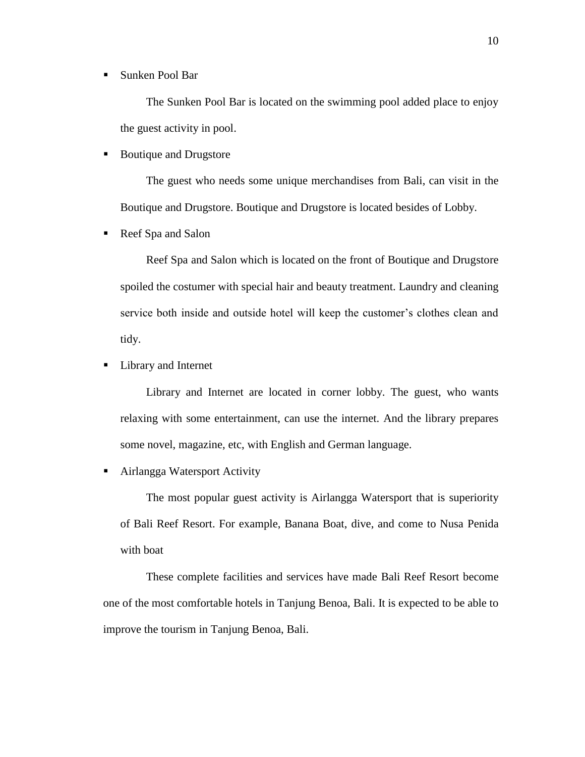■ Sunken Pool Bar

The Sunken Pool Bar is located on the swimming pool added place to enjoy the guest activity in pool.

■ Boutique and Drugstore

The guest who needs some unique merchandises from Bali, can visit in the Boutique and Drugstore. Boutique and Drugstore is located besides of Lobby.

Reef Spa and Salon

Reef Spa and Salon which is located on the front of Boutique and Drugstore spoiled the costumer with special hair and beauty treatment. Laundry and cleaning service both inside and outside hotel will keep the customer's clothes clean and tidy.

■ Library and Internet

Library and Internet are located in corner lobby. The guest, who wants relaxing with some entertainment, can use the internet. And the library prepares some novel, magazine, etc, with English and German language.

■ Airlangga Watersport Activity

The most popular guest activity is Airlangga Watersport that is superiority of Bali Reef Resort. For example, Banana Boat, dive, and come to Nusa Penida with boat

These complete facilities and services have made Bali Reef Resort become one of the most comfortable hotels in Tanjung Benoa, Bali. It is expected to be able to improve the tourism in Tanjung Benoa, Bali.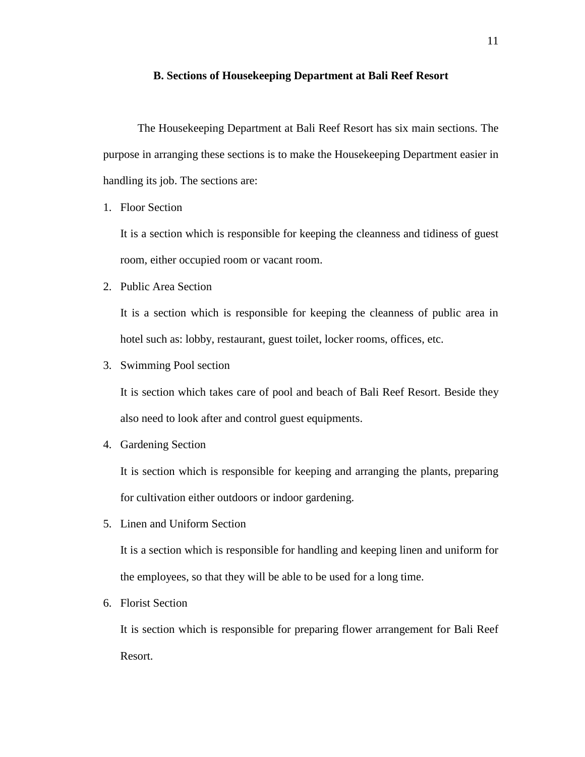#### **B. Sections of Housekeeping Department at Bali Reef Resort**

The Housekeeping Department at Bali Reef Resort has six main sections. The purpose in arranging these sections is to make the Housekeeping Department easier in handling its job. The sections are:

1. Floor Section

It is a section which is responsible for keeping the cleanness and tidiness of guest room, either occupied room or vacant room.

2. Public Area Section

It is a section which is responsible for keeping the cleanness of public area in hotel such as: lobby, restaurant, guest toilet, locker rooms, offices, etc.

3. Swimming Pool section

It is section which takes care of pool and beach of Bali Reef Resort. Beside they also need to look after and control guest equipments.

4. Gardening Section

It is section which is responsible for keeping and arranging the plants, preparing for cultivation either outdoors or indoor gardening.

5. Linen and Uniform Section

It is a section which is responsible for handling and keeping linen and uniform for the employees, so that they will be able to be used for a long time.

6. Florist Section

It is section which is responsible for preparing flower arrangement for Bali Reef Resort.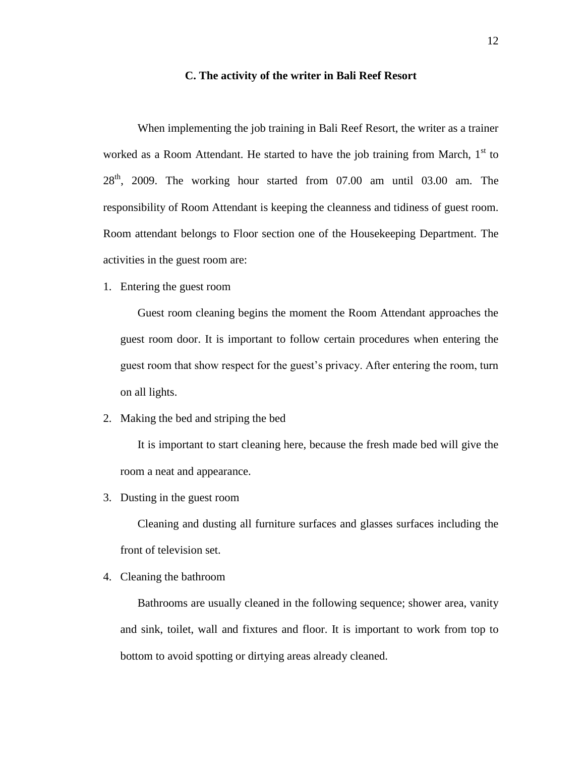#### **C. The activity of the writer in Bali Reef Resort**

When implementing the job training in Bali Reef Resort, the writer as a trainer worked as a Room Attendant. He started to have the job training from March,  $1<sup>st</sup>$  to  $28<sup>th</sup>$ , 2009. The working hour started from 07.00 am until 03.00 am. The responsibility of Room Attendant is keeping the cleanness and tidiness of guest room. Room attendant belongs to Floor section one of the Housekeeping Department. The activities in the guest room are:

1. Entering the guest room

Guest room cleaning begins the moment the Room Attendant approaches the guest room door. It is important to follow certain procedures when entering the guest room that show respect for the guest's privacy. After entering the room, turn on all lights.

2. Making the bed and striping the bed

It is important to start cleaning here, because the fresh made bed will give the room a neat and appearance.

3. Dusting in the guest room

Cleaning and dusting all furniture surfaces and glasses surfaces including the front of television set.

4. Cleaning the bathroom

Bathrooms are usually cleaned in the following sequence; shower area, vanity and sink, toilet, wall and fixtures and floor. It is important to work from top to bottom to avoid spotting or dirtying areas already cleaned.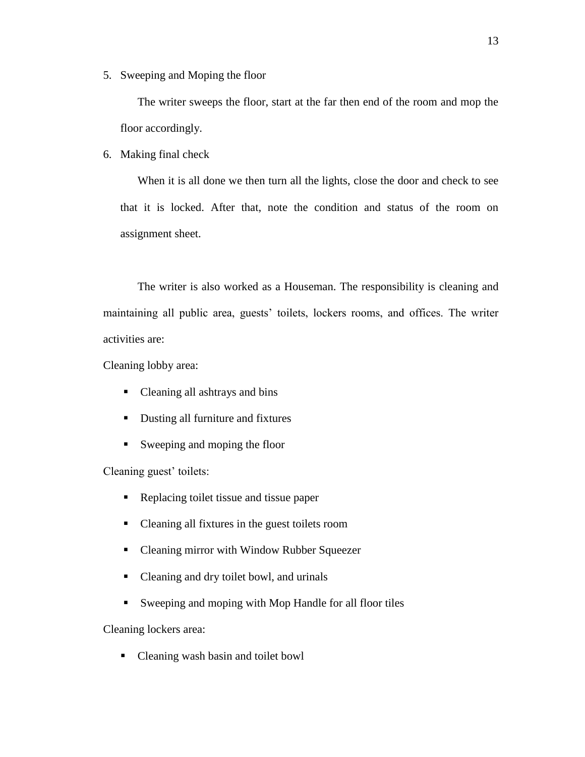5. Sweeping and Moping the floor

The writer sweeps the floor, start at the far then end of the room and mop the floor accordingly.

6. Making final check

When it is all done we then turn all the lights, close the door and check to see that it is locked. After that, note the condition and status of the room on assignment sheet.

The writer is also worked as a Houseman. The responsibility is cleaning and maintaining all public area, guests' toilets, lockers rooms, and offices. The writer activities are:

Cleaning lobby area:

- Cleaning all ashtrays and bins
- Dusting all furniture and fixtures
- Sweeping and moping the floor

Cleaning guest' toilets:

- Replacing toilet tissue and tissue paper
- Cleaning all fixtures in the guest toilets room
- Cleaning mirror with Window Rubber Squeezer
- Cleaning and dry toilet bowl, and urinals
- Sweeping and moping with Mop Handle for all floor tiles

Cleaning lockers area:

• Cleaning wash basin and toilet bowl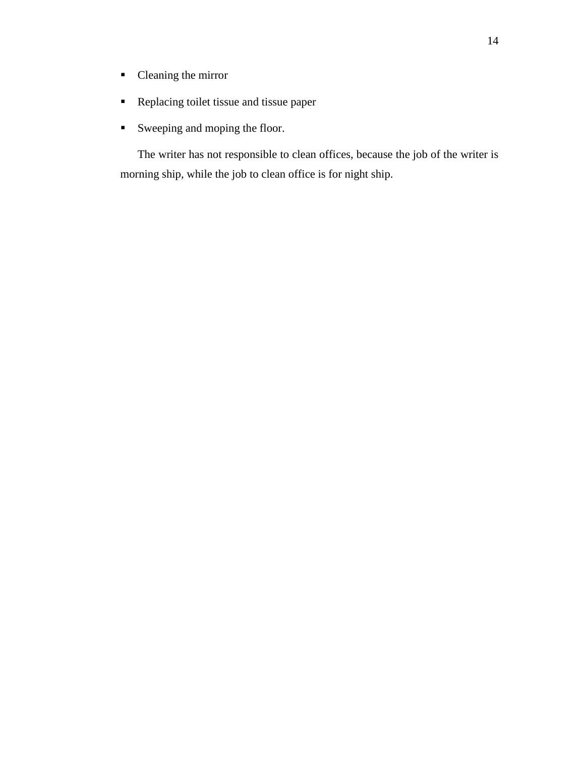- Cleaning the mirror
- **Replacing toilet tissue and tissue paper**
- Sweeping and moping the floor.

The writer has not responsible to clean offices, because the job of the writer is morning ship, while the job to clean office is for night ship.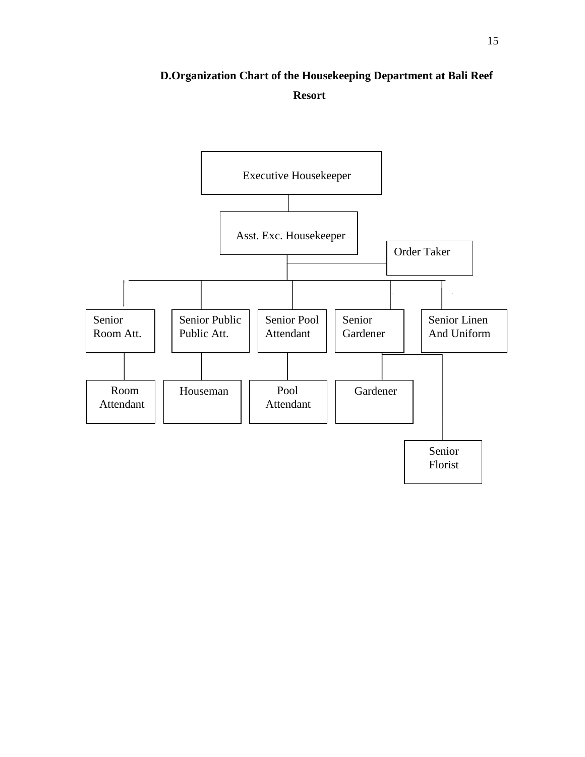# **D.Organization Chart of the Housekeeping Department at Bali Reef Resort**

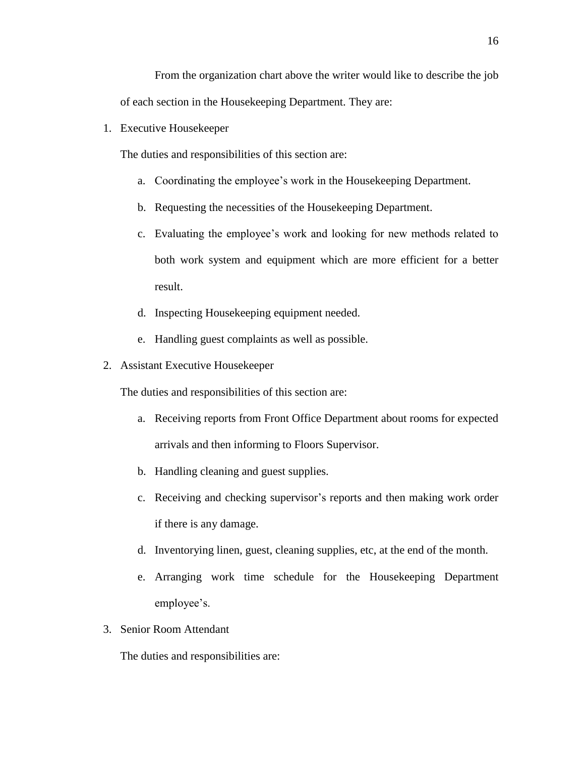From the organization chart above the writer would like to describe the job of each section in the Housekeeping Department. They are:

1. Executive Housekeeper

The duties and responsibilities of this section are:

- a. Coordinating the employee's work in the Housekeeping Department.
- b. Requesting the necessities of the Housekeeping Department.
- c. Evaluating the employee's work and looking for new methods related to both work system and equipment which are more efficient for a better result.
- d. Inspecting Housekeeping equipment needed.
- e. Handling guest complaints as well as possible.
- 2. Assistant Executive Housekeeper

The duties and responsibilities of this section are:

- a. Receiving reports from Front Office Department about rooms for expected arrivals and then informing to Floors Supervisor.
- b. Handling cleaning and guest supplies.
- c. Receiving and checking supervisor's reports and then making work order if there is any damage.
- d. Inventorying linen, guest, cleaning supplies, etc, at the end of the month.
- e. Arranging work time schedule for the Housekeeping Department employee's.
- 3. Senior Room Attendant

The duties and responsibilities are: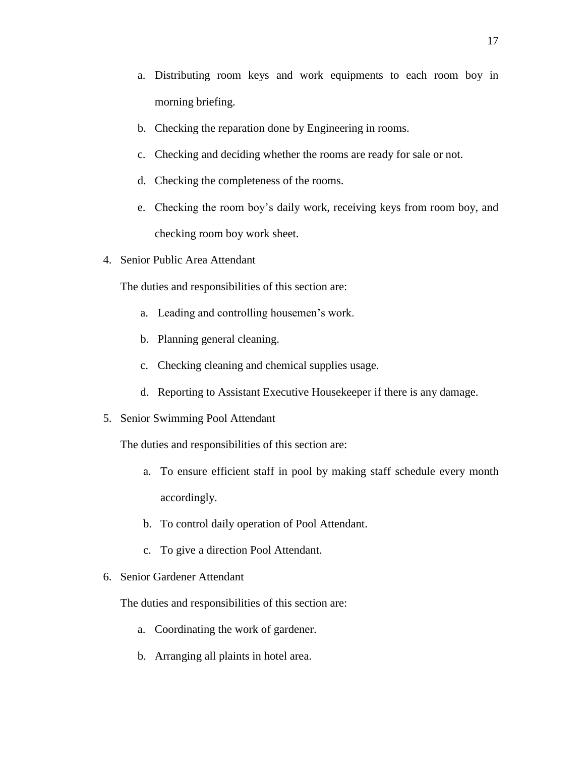- a. Distributing room keys and work equipments to each room boy in morning briefing.
- b. Checking the reparation done by Engineering in rooms.
- c. Checking and deciding whether the rooms are ready for sale or not.
- d. Checking the completeness of the rooms.
- e. Checking the room boy's daily work, receiving keys from room boy, and checking room boy work sheet.
- 4. Senior Public Area Attendant

The duties and responsibilities of this section are:

- a. Leading and controlling housemen's work.
- b. Planning general cleaning.
- c. Checking cleaning and chemical supplies usage.
- d. Reporting to Assistant Executive Housekeeper if there is any damage.
- 5. Senior Swimming Pool Attendant

The duties and responsibilities of this section are:

- a. To ensure efficient staff in pool by making staff schedule every month accordingly.
- b. To control daily operation of Pool Attendant.
- c. To give a direction Pool Attendant.
- 6. Senior Gardener Attendant

The duties and responsibilities of this section are:

- a. Coordinating the work of gardener.
- b. Arranging all plaints in hotel area.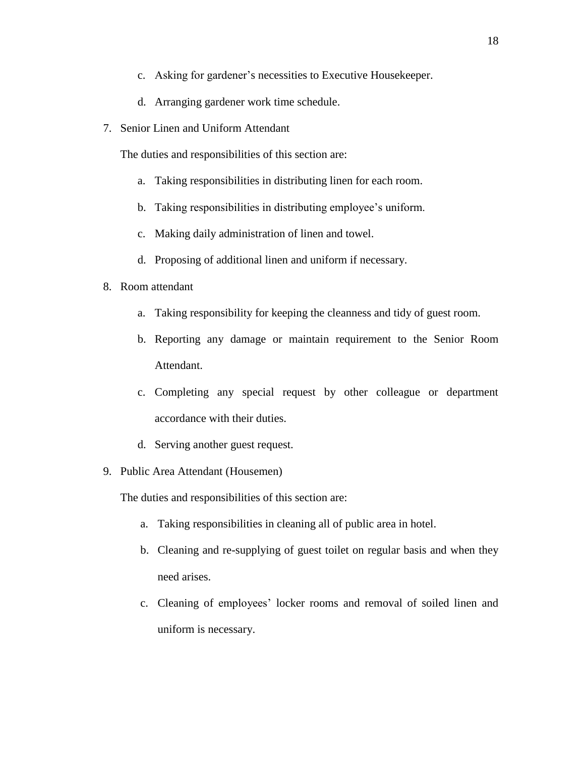- c. Asking for gardener's necessities to Executive Housekeeper.
- d. Arranging gardener work time schedule.
- 7. Senior Linen and Uniform Attendant

The duties and responsibilities of this section are:

- a. Taking responsibilities in distributing linen for each room.
- b. Taking responsibilities in distributing employee's uniform.
- c. Making daily administration of linen and towel.
- d. Proposing of additional linen and uniform if necessary.
- 8. Room attendant
	- a. Taking responsibility for keeping the cleanness and tidy of guest room.
	- b. Reporting any damage or maintain requirement to the Senior Room Attendant.
	- c. Completing any special request by other colleague or department accordance with their duties.
	- d. Serving another guest request.
- 9. Public Area Attendant (Housemen)

The duties and responsibilities of this section are:

- a. Taking responsibilities in cleaning all of public area in hotel.
- b. Cleaning and re-supplying of guest toilet on regular basis and when they need arises.
- c. Cleaning of employees' locker rooms and removal of soiled linen and uniform is necessary.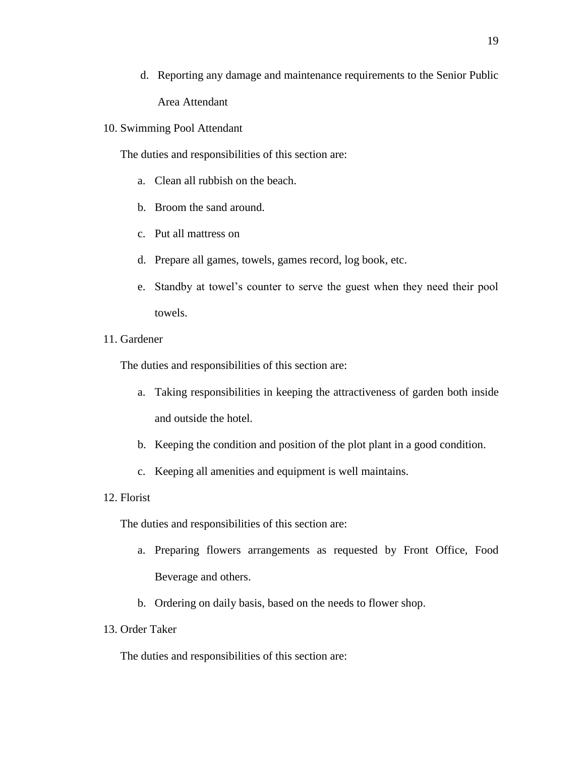- d. Reporting any damage and maintenance requirements to the Senior Public Area Attendant
- 10. Swimming Pool Attendant

The duties and responsibilities of this section are:

- a. Clean all rubbish on the beach.
- b. Broom the sand around.
- c. Put all mattress on
- d. Prepare all games, towels, games record, log book, etc.
- e. Standby at towel's counter to serve the guest when they need their pool towels.
- 11. Gardener

The duties and responsibilities of this section are:

- a. Taking responsibilities in keeping the attractiveness of garden both inside and outside the hotel.
- b. Keeping the condition and position of the plot plant in a good condition.
- c. Keeping all amenities and equipment is well maintains.
- 12. Florist

The duties and responsibilities of this section are:

- a. Preparing flowers arrangements as requested by Front Office, Food Beverage and others.
- b. Ordering on daily basis, based on the needs to flower shop.
- 13. Order Taker

The duties and responsibilities of this section are: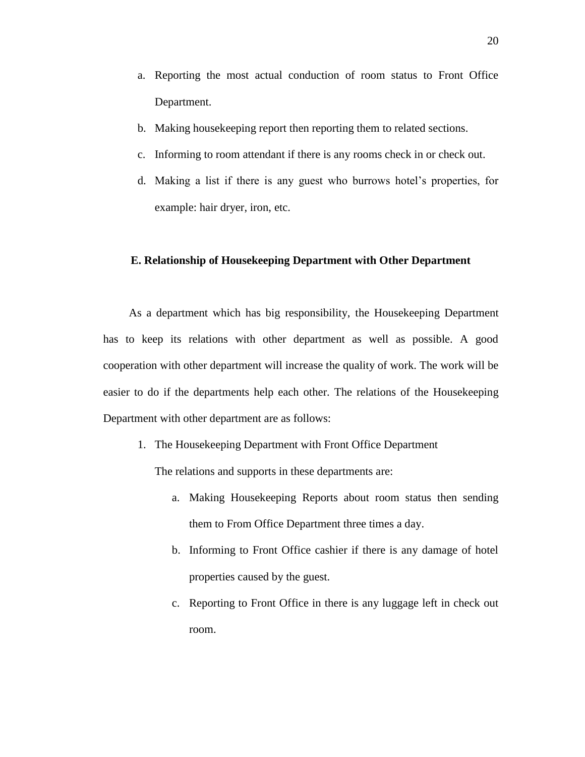- a. Reporting the most actual conduction of room status to Front Office Department.
- b. Making housekeeping report then reporting them to related sections.
- c. Informing to room attendant if there is any rooms check in or check out.
- d. Making a list if there is any guest who burrows hotel's properties, for example: hair dryer, iron, etc.

# **E. Relationship of Housekeeping Department with Other Department**

As a department which has big responsibility, the Housekeeping Department has to keep its relations with other department as well as possible. A good cooperation with other department will increase the quality of work. The work will be easier to do if the departments help each other. The relations of the Housekeeping Department with other department are as follows:

1. The Housekeeping Department with Front Office Department

The relations and supports in these departments are:

- a. Making Housekeeping Reports about room status then sending them to From Office Department three times a day.
- b. Informing to Front Office cashier if there is any damage of hotel properties caused by the guest.
- c. Reporting to Front Office in there is any luggage left in check out room.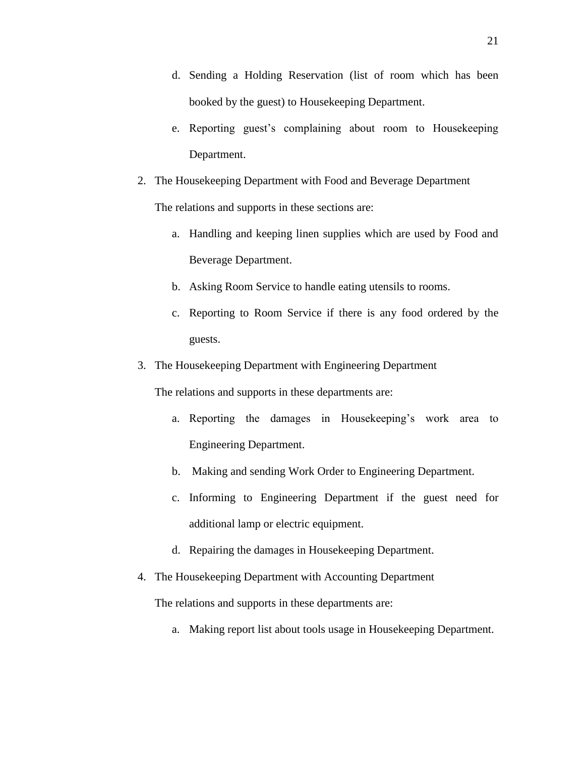- d. Sending a Holding Reservation (list of room which has been booked by the guest) to Housekeeping Department.
- e. Reporting guest's complaining about room to Housekeeping Department.
- 2. The Housekeeping Department with Food and Beverage Department

The relations and supports in these sections are:

- a. Handling and keeping linen supplies which are used by Food and Beverage Department.
- b. Asking Room Service to handle eating utensils to rooms.
- c. Reporting to Room Service if there is any food ordered by the guests.
- 3. The Housekeeping Department with Engineering Department

The relations and supports in these departments are:

- a. Reporting the damages in Housekeeping's work area to Engineering Department.
- b. Making and sending Work Order to Engineering Department.
- c. Informing to Engineering Department if the guest need for additional lamp or electric equipment.
- d. Repairing the damages in Housekeeping Department.
- 4. The Housekeeping Department with Accounting Department

The relations and supports in these departments are:

a. Making report list about tools usage in Housekeeping Department.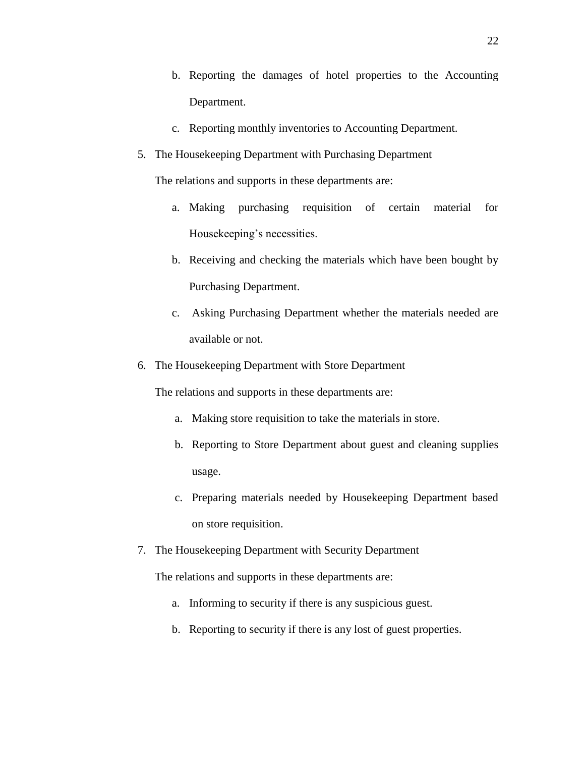- b. Reporting the damages of hotel properties to the Accounting Department.
- c. Reporting monthly inventories to Accounting Department.
- 5. The Housekeeping Department with Purchasing Department

The relations and supports in these departments are:

- a. Making purchasing requisition of certain material for Housekeeping's necessities.
- b. Receiving and checking the materials which have been bought by Purchasing Department.
- c. Asking Purchasing Department whether the materials needed are available or not.
- 6. The Housekeeping Department with Store Department

The relations and supports in these departments are:

- a. Making store requisition to take the materials in store.
- b. Reporting to Store Department about guest and cleaning supplies usage.
- c. Preparing materials needed by Housekeeping Department based on store requisition.
- 7. The Housekeeping Department with Security Department

The relations and supports in these departments are:

- a. Informing to security if there is any suspicious guest.
- b. Reporting to security if there is any lost of guest properties.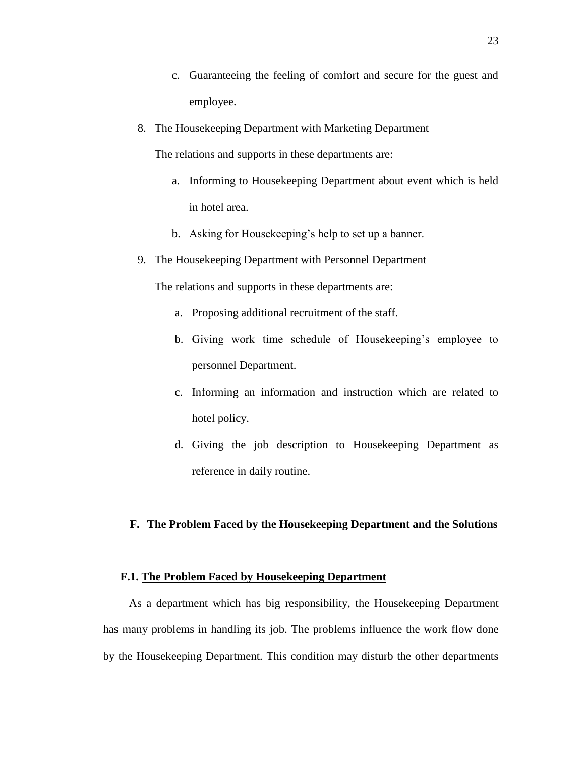- c. Guaranteeing the feeling of comfort and secure for the guest and employee.
- 8. The Housekeeping Department with Marketing Department

The relations and supports in these departments are:

- a. Informing to Housekeeping Department about event which is held in hotel area.
- b. Asking for Housekeeping's help to set up a banner.
- 9. The Housekeeping Department with Personnel Department

The relations and supports in these departments are:

- a. Proposing additional recruitment of the staff.
- b. Giving work time schedule of Housekeeping's employee to personnel Department.
- c. Informing an information and instruction which are related to hotel policy.
- d. Giving the job description to Housekeeping Department as reference in daily routine.

# **F. The Problem Faced by the Housekeeping Department and the Solutions**

#### **F.1. The Problem Faced by Housekeeping Department**

As a department which has big responsibility, the Housekeeping Department has many problems in handling its job. The problems influence the work flow done by the Housekeeping Department. This condition may disturb the other departments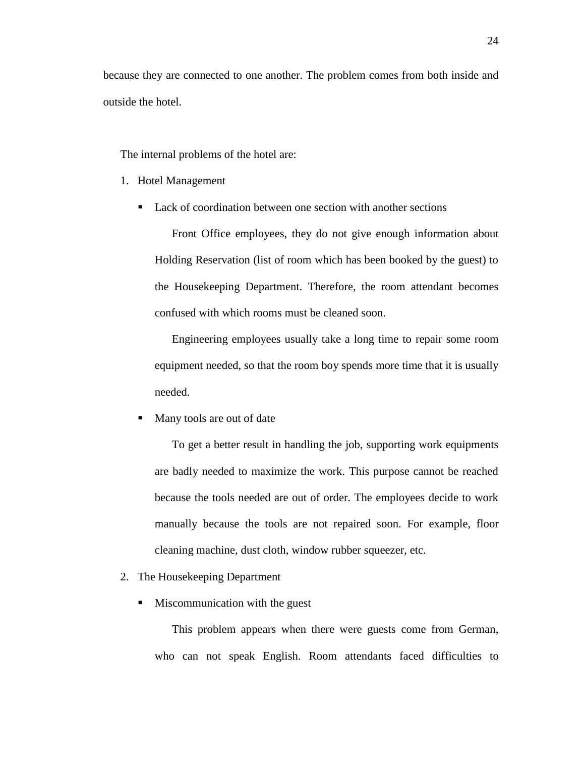because they are connected to one another. The problem comes from both inside and outside the hotel.

The internal problems of the hotel are:

- 1. Hotel Management
	- Lack of coordination between one section with another sections

Front Office employees, they do not give enough information about Holding Reservation (list of room which has been booked by the guest) to the Housekeeping Department. Therefore, the room attendant becomes confused with which rooms must be cleaned soon.

Engineering employees usually take a long time to repair some room equipment needed, so that the room boy spends more time that it is usually needed.

Many tools are out of date

To get a better result in handling the job, supporting work equipments are badly needed to maximize the work. This purpose cannot be reached because the tools needed are out of order. The employees decide to work manually because the tools are not repaired soon. For example, floor cleaning machine, dust cloth, window rubber squeezer, etc.

- 2. The Housekeeping Department
	- **Miscommunication with the guest**

This problem appears when there were guests come from German, who can not speak English. Room attendants faced difficulties to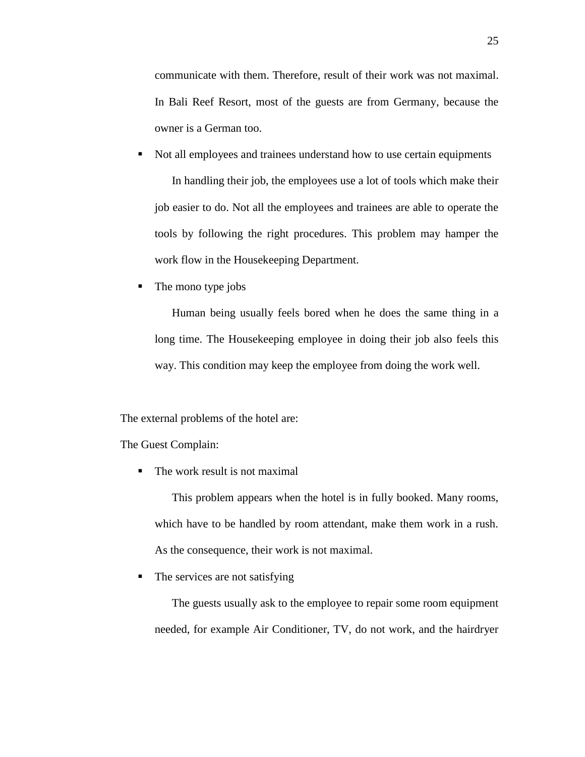communicate with them. Therefore, result of their work was not maximal. In Bali Reef Resort, most of the guests are from Germany, because the owner is a German too.

- Not all employees and trainees understand how to use certain equipments In handling their job, the employees use a lot of tools which make their job easier to do. Not all the employees and trainees are able to operate the tools by following the right procedures. This problem may hamper the work flow in the Housekeeping Department.
- The mono type jobs

Human being usually feels bored when he does the same thing in a long time. The Housekeeping employee in doing their job also feels this way. This condition may keep the employee from doing the work well.

The external problems of the hotel are:

The Guest Complain:

The work result is not maximal

This problem appears when the hotel is in fully booked. Many rooms, which have to be handled by room attendant, make them work in a rush. As the consequence, their work is not maximal.

• The services are not satisfying

The guests usually ask to the employee to repair some room equipment needed, for example Air Conditioner, TV, do not work, and the hairdryer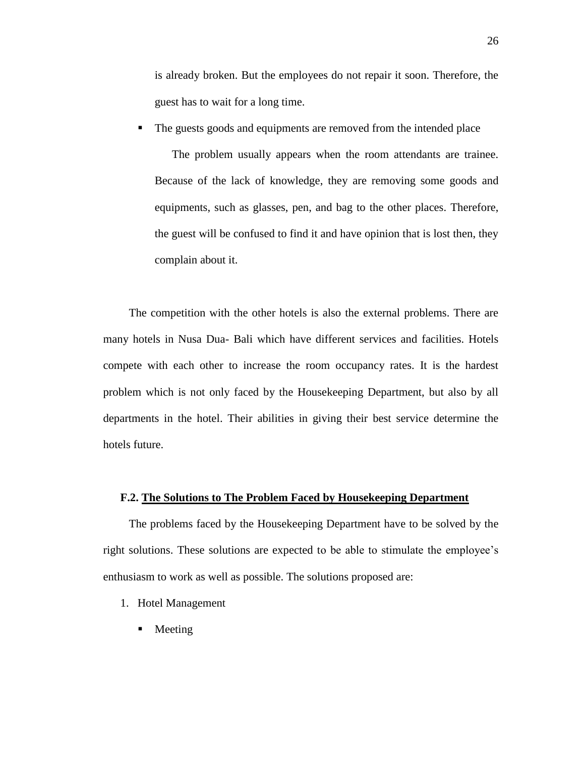is already broken. But the employees do not repair it soon. Therefore, the guest has to wait for a long time.

The guests goods and equipments are removed from the intended place

The problem usually appears when the room attendants are trainee. Because of the lack of knowledge, they are removing some goods and equipments, such as glasses, pen, and bag to the other places. Therefore, the guest will be confused to find it and have opinion that is lost then, they complain about it.

The competition with the other hotels is also the external problems. There are many hotels in Nusa Dua- Bali which have different services and facilities. Hotels compete with each other to increase the room occupancy rates. It is the hardest problem which is not only faced by the Housekeeping Department, but also by all departments in the hotel. Their abilities in giving their best service determine the hotels future.

#### **F.2. The Solutions to The Problem Faced by Housekeeping Department**

The problems faced by the Housekeeping Department have to be solved by the right solutions. These solutions are expected to be able to stimulate the employee's enthusiasm to work as well as possible. The solutions proposed are:

- 1. Hotel Management
	- Meeting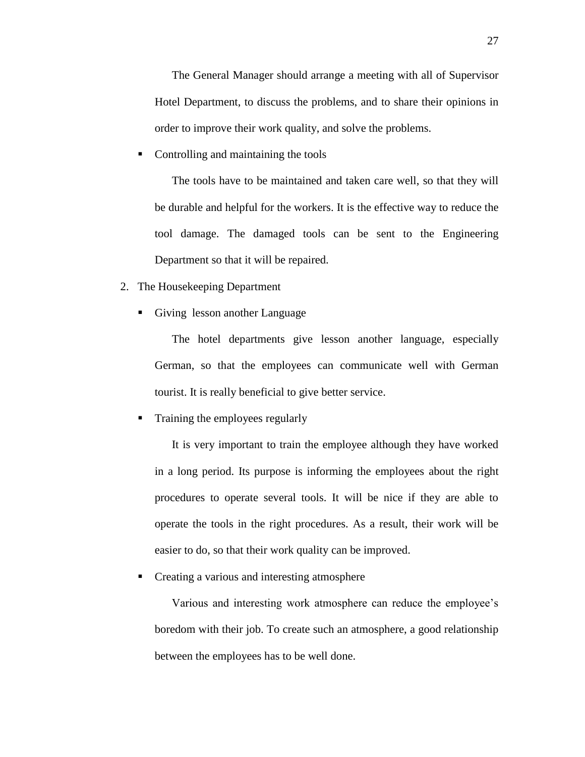The General Manager should arrange a meeting with all of Supervisor Hotel Department, to discuss the problems, and to share their opinions in order to improve their work quality, and solve the problems.

Controlling and maintaining the tools

The tools have to be maintained and taken care well, so that they will be durable and helpful for the workers. It is the effective way to reduce the tool damage. The damaged tools can be sent to the Engineering Department so that it will be repaired.

- 2. The Housekeeping Department
	- Giving lesson another Language

The hotel departments give lesson another language, especially German, so that the employees can communicate well with German tourist. It is really beneficial to give better service.

Training the employees regularly

It is very important to train the employee although they have worked in a long period. Its purpose is informing the employees about the right procedures to operate several tools. It will be nice if they are able to operate the tools in the right procedures. As a result, their work will be easier to do, so that their work quality can be improved.

Creating a various and interesting atmosphere

Various and interesting work atmosphere can reduce the employee's boredom with their job. To create such an atmosphere, a good relationship between the employees has to be well done.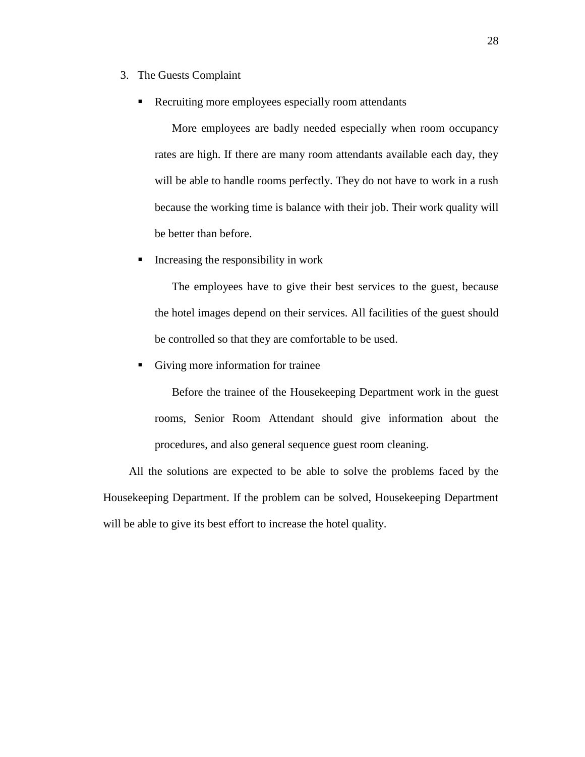- 3. The Guests Complaint
	- Recruiting more employees especially room attendants

More employees are badly needed especially when room occupancy rates are high. If there are many room attendants available each day, they will be able to handle rooms perfectly. They do not have to work in a rush because the working time is balance with their job. Their work quality will be better than before.

Increasing the responsibility in work

The employees have to give their best services to the guest, because the hotel images depend on their services. All facilities of the guest should be controlled so that they are comfortable to be used.

Giving more information for trainee

Before the trainee of the Housekeeping Department work in the guest rooms, Senior Room Attendant should give information about the procedures, and also general sequence guest room cleaning.

All the solutions are expected to be able to solve the problems faced by the Housekeeping Department. If the problem can be solved, Housekeeping Department will be able to give its best effort to increase the hotel quality.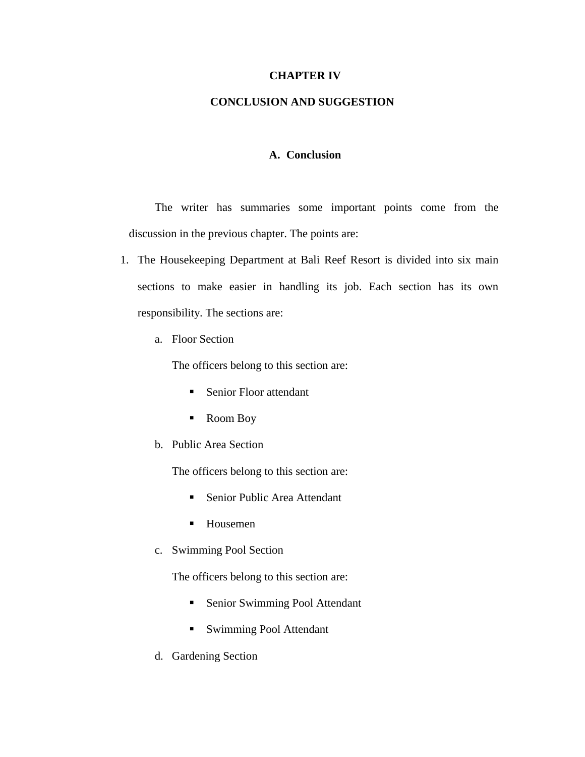# **CHAPTER IV**

# **CONCLUSION AND SUGGESTION**

# **A. Conclusion**

The writer has summaries some important points come from the discussion in the previous chapter. The points are:

- 1. The Housekeeping Department at Bali Reef Resort is divided into six main sections to make easier in handling its job. Each section has its own responsibility. The sections are:
	- a. Floor Section

The officers belong to this section are:

- Senior Floor attendant
- Room Boy
- b. Public Area Section

The officers belong to this section are:

- Senior Public Area Attendant
- Housemen
- c. Swimming Pool Section

The officers belong to this section are:

- Senior Swimming Pool Attendant
- **Swimming Pool Attendant**
- d. Gardening Section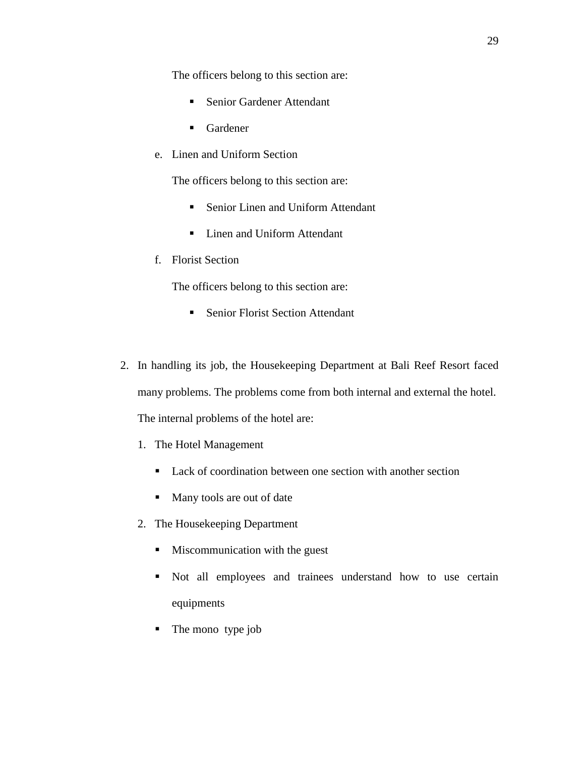The officers belong to this section are:

- Senior Gardener Attendant
- Gardener
- e. Linen and Uniform Section

The officers belong to this section are:

- Senior Linen and Uniform Attendant
- Linen and Uniform Attendant
- f. Florist Section

The officers belong to this section are:

- Senior Florist Section Attendant
- 2. In handling its job, the Housekeeping Department at Bali Reef Resort faced many problems. The problems come from both internal and external the hotel. The internal problems of the hotel are:
	- 1. The Hotel Management
		- Lack of coordination between one section with another section
		- Many tools are out of date
	- 2. The Housekeeping Department
		- **Miscommunication with the guest**
		- Not all employees and trainees understand how to use certain equipments
		- The mono type job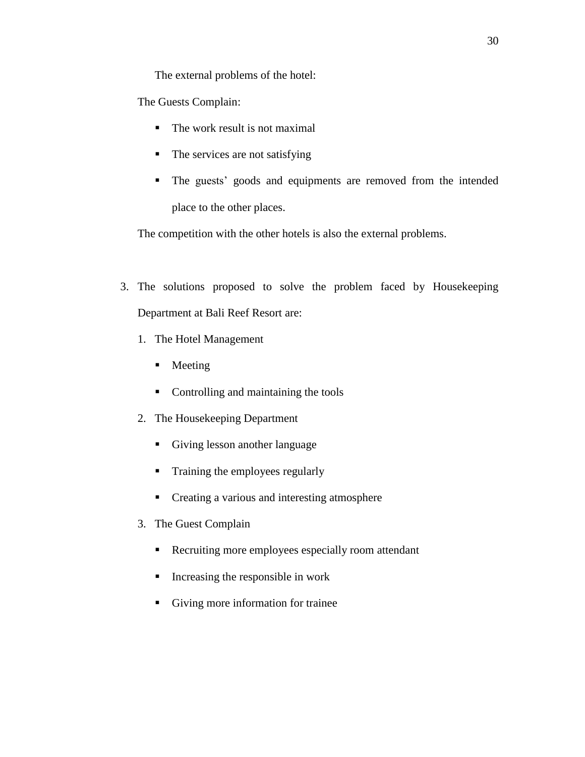The external problems of the hotel:

The Guests Complain:

- The work result is not maximal
- $\blacksquare$  The services are not satisfying
- The guests' goods and equipments are removed from the intended place to the other places.

The competition with the other hotels is also the external problems.

- 3. The solutions proposed to solve the problem faced by Housekeeping Department at Bali Reef Resort are:
	- 1. The Hotel Management
		- Meeting
		- Controlling and maintaining the tools
	- 2. The Housekeeping Department
		- Giving lesson another language
		- **Training the employees regularly**
		- Creating a various and interesting atmosphere
	- 3. The Guest Complain
		- Recruiting more employees especially room attendant
		- $\blacksquare$  Increasing the responsible in work
		- Giving more information for trainee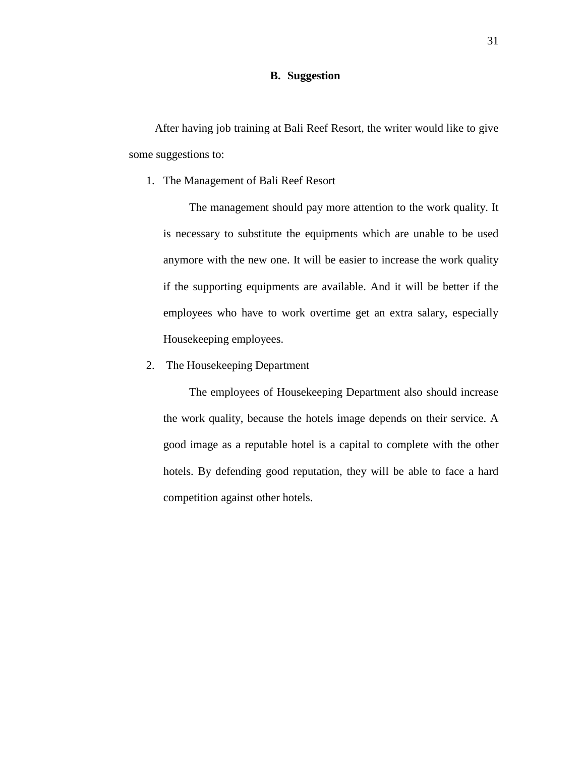# **B. Suggestion**

After having job training at Bali Reef Resort, the writer would like to give some suggestions to:

1. The Management of Bali Reef Resort

The management should pay more attention to the work quality. It is necessary to substitute the equipments which are unable to be used anymore with the new one. It will be easier to increase the work quality if the supporting equipments are available. And it will be better if the employees who have to work overtime get an extra salary, especially Housekeeping employees.

2. The Housekeeping Department

The employees of Housekeeping Department also should increase the work quality, because the hotels image depends on their service. A good image as a reputable hotel is a capital to complete with the other hotels. By defending good reputation, they will be able to face a hard competition against other hotels.